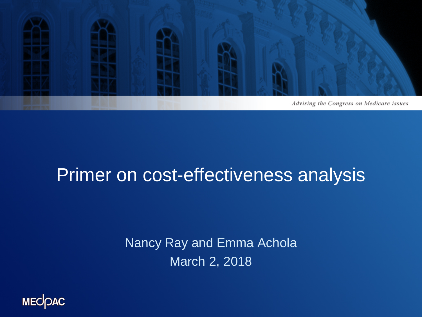

#### Primer on cost-effectiveness analysis

Nancy Ray and Emma Achola March 2, 2018

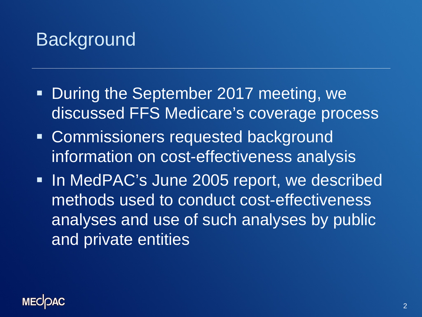## **Background**

- **During the September 2017 meeting, we** discussed FFS Medicare's coverage process
- **EXPENDITE: Commissioners requested background** information on cost-effectiveness analysis
- **Iomark 19 MedPAC's June 2005 report, we described** methods used to conduct cost-effectiveness analyses and use of such analyses by public and private entities

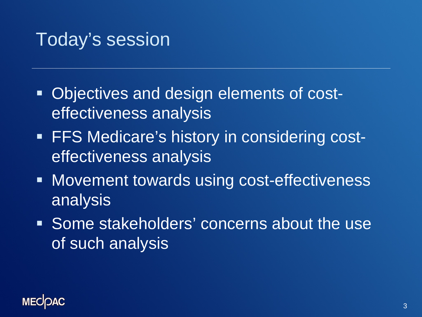### Today's session

- **Objectives and design elements of cost**effectiveness analysis
- **FFS Medicare's history in considering cost**effectiveness analysis
- **Movement towards using cost-effectiveness** analysis
- Some stakeholders' concerns about the use of such analysis

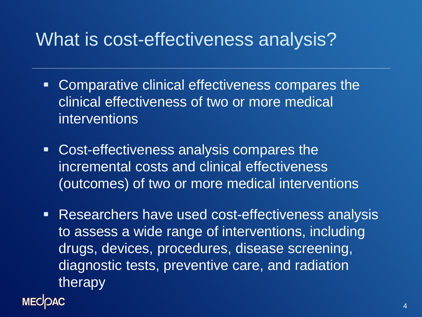#### What is cost-effectiveness analysis?

- Comparative clinical effectiveness compares the clinical effectiveness of two or more medical interventions
- Cost-effectiveness analysis compares the incremental costs and clinical effectiveness (outcomes) of two or more medical interventions
- **Researchers have used cost-effectiveness analysis** to assess a wide range of interventions, including drugs, devices, procedures, disease screening, diagnostic tests, preventive care, and radiation therapy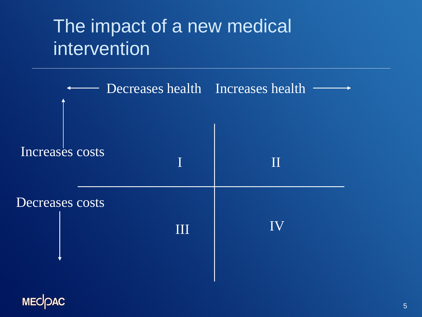## The impact of a new medical intervention



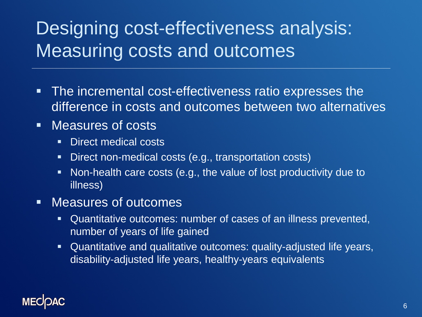# Designing cost-effectiveness analysis: Measuring costs and outcomes

- **The incremental cost-effectiveness ratio expresses the** difference in costs and outcomes between two alternatives
- Measures of costs
	- **Direct medical costs**
	- **Direct non-medical costs (e.g., transportation costs)**
	- Non-health care costs (e.g., the value of lost productivity due to illness)
- Measures of outcomes
	- Quantitative outcomes: number of cases of an illness prevented, number of years of life gained
	- Quantitative and qualitative outcomes: quality-adjusted life years, disability-adjusted life years, healthy-years equivalents

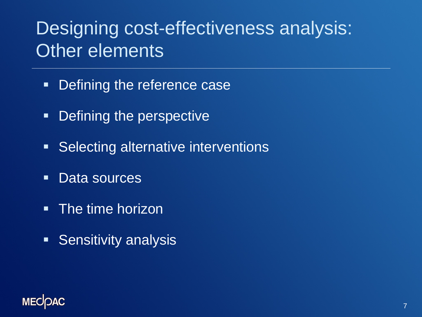## Designing cost-effectiveness analysis: Other elements

- **Defining the reference case**
- Defining the perspective
- **Selecting alternative interventions**
- **-** Data sources
- **The time horizon**
- **Sensitivity analysis**

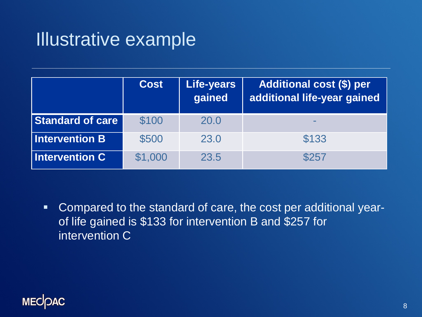#### Illustrative example

|                         | <b>Cost</b> | <b>Life-years</b><br>gained | Additional cost (\$) per<br>additional life-year gained |
|-------------------------|-------------|-----------------------------|---------------------------------------------------------|
| <b>Standard of care</b> | \$100       | 20.0                        |                                                         |
| <b>Intervention B</b>   | \$500       | 23.0                        | \$133                                                   |
| <b>Intervention C</b>   | \$1,000     | 23.5                        | \$257                                                   |

 Compared to the standard of care, the cost per additional yearof life gained is \$133 for intervention B and \$257 for intervention C

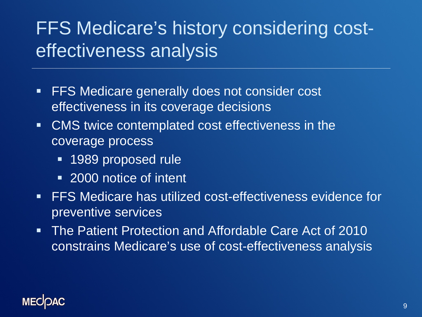# FFS Medicare's history considering costeffectiveness analysis

- **FFS Medicare generally does not consider cost** effectiveness in its coverage decisions
- CMS twice contemplated cost effectiveness in the coverage process
	- **1989 proposed rule**
	- 2000 notice of intent
- **FFS Medicare has utilized cost-effectiveness evidence for** preventive services
- The Patient Protection and Affordable Care Act of 2010 constrains Medicare's use of cost-effectiveness analysis

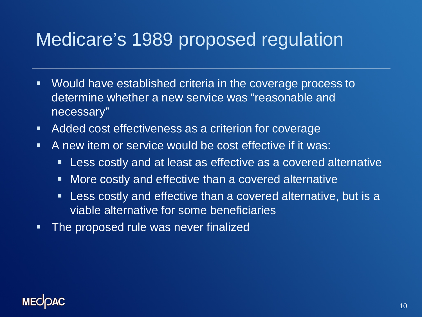## Medicare's 1989 proposed regulation

- Would have established criteria in the coverage process to determine whether a new service was "reasonable and necessary"
- **Added cost effectiveness as a criterion for coverage**
- A new item or service would be cost effective if it was:
	- **Less costly and at least as effective as a covered alternative**
	- **Nore costly and effective than a covered alternative**
	- Less costly and effective than a covered alternative, but is a viable alternative for some beneficiaries
- **The proposed rule was never finalized**

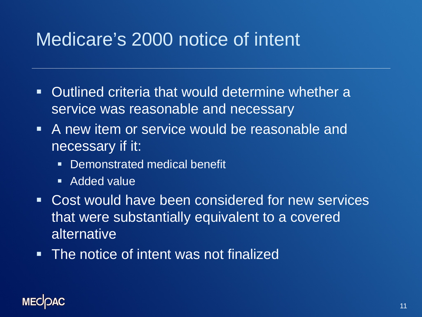## Medicare's 2000 notice of intent

- Outlined criteria that would determine whether a service was reasonable and necessary
- A new item or service would be reasonable and necessary if it:
	- **Demonstrated medical benefit**
	- **Added value**
- Cost would have been considered for new services that were substantially equivalent to a covered alternative
- **The notice of intent was not finalized**

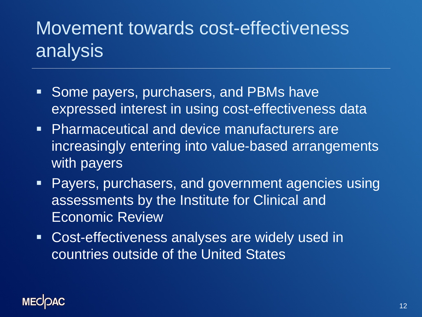# Movement towards cost-effectiveness analysis

- **Some payers, purchasers, and PBMs have** expressed interest in using cost-effectiveness data
- **Pharmaceutical and device manufacturers are** increasingly entering into value-based arrangements with payers
- **Payers, purchasers, and government agencies using** assessments by the Institute for Clinical and Economic Review
- Cost-effectiveness analyses are widely used in countries outside of the United States

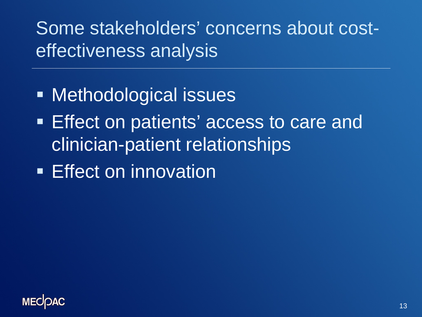Some stakeholders' concerns about costeffectiveness analysis

- **Methodological issues**
- Effect on patients' access to care and clinician-patient relationships
- **Effect on innovation**